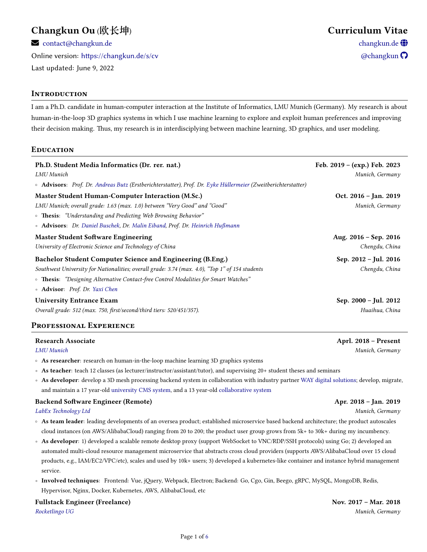# **Changkun Ou** (**欧长坤**) **Curriculum Vitae**

 $\blacktriangleright$  [contact@changkun.de](mailto:contact.at.changkun.de) change change change change change change change change change change change change change  $\bigoplus$ 

Online version: <https://changkun.de/s/cv>  $\bullet$  [a](https://github.com/changkun)nd  $\bullet$  and  $\bullet$  and  $\bullet$  and  $\bullet$  and  $\bullet$  and  $\bullet$  and  $\bullet$  and  $\bullet$  and  $\bullet$  and  $\bullet$  and  $\bullet$  and  $\bullet$  and  $\bullet$  and  $\bullet$  and  $\bullet$  and  $\bullet$  and  $\bullet$  and  $\bullet$  and  $\bullet$  and Last updated: June 9, 2022

# **IntRoduction**

I am a Ph.D. candidate in human-computer interaction at the Institute of Informatics, LMU Munich (Germany). My research is about human-in-the-loop 3D graphics systems in which I use machine learning to explore and exploit human preferences and improving their decision making. Thus, my research is in interdisciplying between machine learning, 3D graphics, and user modeling.

**Education**

| Ph.D. Student Media Informatics (Dr. rer. nat.)<br>LMU Munich<br>o Advisors: Prof. Dr. Andreas Butz (Erstberichterstatter), Prof. Dr. Eyke Hüllermeier (Zweitberichterstatter)                                                                                                         | Feb. $2019 - (exp.)$ Feb. 2023<br>Munich, Germany |
|----------------------------------------------------------------------------------------------------------------------------------------------------------------------------------------------------------------------------------------------------------------------------------------|---------------------------------------------------|
| Master Student Human-Computer Interaction (M.Sc.)<br>LMU Munich; overall grade: 1.63 (max. 1.0) between "Very Good" and "Good"<br>• Thesis: "Understanding and Predicting Web Browsing Behavior"<br>• Advisors: Dr. Daniel Buschek, Dr. Malin Eiband, Prof. Dr. Heinrich Hußmann       | Oct. 2016 - Jan. 2019<br>Munich, Germany          |
| <b>Master Student Software Engineering</b><br>University of Electronic Science and Technology of China                                                                                                                                                                                 | Aug. 2016 - Sep. 2016<br>Chengdu, China           |
| Bachelor Student Computer Science and Engineering (B.Eng.)<br>Southwest University for Nationalities; overall grade: 3.74 (max. 4.0), "Top 1" of 154 students<br>• Thesis: "Designing Alternative Contact-free Control Modalities for Smart Watches"<br>• Advisor: Prof. Dr. Yaxi Chen | Sep. 2012 - Jul. 2016<br>Chengdu, China           |
| <b>University Entrance Exam</b><br>Overall grade: 512 (max. 750, first/second/third tiers: 520/451/357).<br>PROFESSIONAL EXPERIENCE                                                                                                                                                    | Sep. 2000 – Jul. 2012<br>Huaihua, China           |

| Research Associate                                                                                                       | Aprl. 2018 – Present |
|--------------------------------------------------------------------------------------------------------------------------|----------------------|
| LMU Munich                                                                                                               | Munich, Germany      |
| $\circ$ As researcher: research on human-in-the-loop machine learning 3D graphics systems                                |                      |
| ↑ As teacher: teach 12 classes (as lecturer/instructor/assistant/tutor), and supervising 20+ student theses and seminars |                      |

◦ **As developer**: develop a 3D mesh processing backend system in collaboration with industry partner [WAY digital solutions;](https://www.way-ds.de/) develop, migrate, and maintain a 17 year-old [university](https://www.medien.ifi.lmu.de/) [CMS system,](https://github.com/changkun/destrictor) and a 13 year-old [collaborative system](https://barkeeper.medien.ifi.lmu.de/)

# **Backend Software Engineer (Remote) Apr. 2018 – Jan. 2019**

*[LabEx Technology Ltd](https://labex.io/) Munich, Germany*

- **As team leader**: leading developments of an oversea product; established microservice based backend architecture; the product autoscales cloud instances (on AWS/AlibabaCloud) ranging from 20 to 200; the product user group grows from 5k+ to 30k+ during my incumbency.
- **As developer**: 1) developed a scalable remote desktop proxy (support WebSocket to VNC/RDP/SSH protocols) using Go; 2) developed an automated multi-cloud resource management microservice that abstracts cross cloud providers (supports AWS/AlibabaCloud over 15 cloud products, e.g., IAM/EC2/VPC/etc), scales and used by 10k+ users; 3) developed a kubernetes-like container and instance hybrid management service.
- **Involved techniques**: Frontend: Vue, jQuery, Webpack, Electron; Backend: Go, Cgo, Gin, Beego, gRPC, MySQL, MongoDB, Redis, Hypervisor, Nginx, Docker, Kubernetes, AWS, AlibabaCloud, etc

**Fullstack Engineer (Freelance) Nov. 2017 – Mar. 2018**

*[Rocketlingo UG](https://magiclingua.com/) Munich, Germany*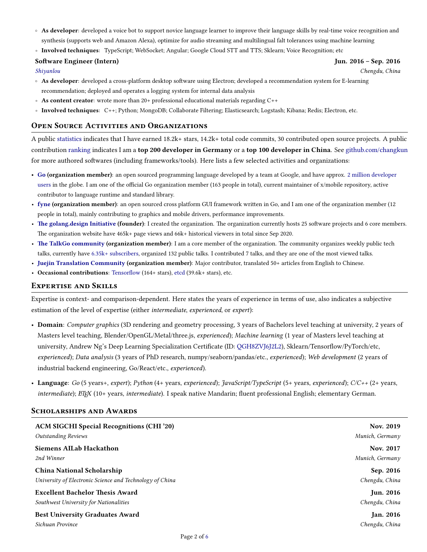- **As developer**: developed a voice bot to support novice language learner to improve their language skills by real-time voice recognition and synthesis (supports web and Amazon Alexa), optimize for audio streaming and multilingual falt tolerances using machine learning
- **Involved techniques**: TypeScript; WebSocket; Angular; Google Cloud STT and TTS; Sklearn; Voice Recognition; etc

### **Software Engineer (Intern) Jun. 2016 – Sep. 2016**

*[Shiyanlou](https://shiyanlou.com/) Chengdu, China*

- **As developer**: developed a cross-platform desktop software using Electron; developed a recommendation system for E-learning recommendation; deployed and operates a logging system for internal data analysis
- **As content creator**: wrote more than 20+ professional educational materials regarding C++
- **Involved techniques**: C++; Python; MongoDB; Collaborate Filtering; Elasticsearch; Logstash; Kibana; Redis; Electron, etc.

# **Open SouRce Activities and ORganizations**

A public [statistics](https://github-readme-stats.vercel.app/api?username=changkun&include_all_commits=true) indicates that I have earned 18.2k+ stars, 14.2k+ total code commits, 30 contributed open source projects. A public contribution [ranking](https://github.com/gayanvoice/top-github-users/blob/858980e5cb10d1b4c27a24d36ae6547aa0f195cd/markdown/public_contributions/germany.md) indicates I am a **top 200 developer in Germany** or a **top 100 developer in China**. See [github.com/changkun](https://github.com/changkun) for more authored softwares (including frameworks/tools). Here lists a few selected activities and organizations:

- **[Go](http://github.com/golang/go/) (organization member)**: an open sourced programming language developed by a team at Google, and have approx. [2 million developer](https://research.swtch.com/gophercount) [users](https://research.swtch.com/gophercount) in the globe. I am one of the official Go organization member (163 people in total), current maintainer of x/mobile repository, active contributor to language runtime and standard library.
- **[fyne](http://github.com/fyne-io/fyne/) (organization member)**: an open sourced cross platform GUI framework written in Go, and I am one of the organization member (12 people in total), mainly contributing to graphics and mobile drivers, performance improvements.
- **[The golang.design Initiative](https://golang.design) (founder)**: I created the organization. The organization currently hosts 25 software projects and 6 core members. The organization website have 465k+ page views and 66k+ historical viewers in total since Sep 2020.
- **[The TalkGo community](https://talkgo.org) (organization member)**: I am a core member of the organization. The community organizes weekly public tech talks, currently have [6.35k+ subscribers,](https://www.youtube.com/c/talkgo_night) organized 132 public talks. I contributed 7 talks, and they are one of the most viewed talks.
- **[Juejin Translation Community](https://github.com/xitu/gold-miner) (organization member)**: Major contributor, translated 50+ articles from English to Chinese.
- Occasional contributions: [Tensorflow](http://github.com/tensorflow/tensorflow/) (164+ stars), [etcd](https://github.com/etcd-io/etcd) (39.6k+ stars), etc.

### **ExpeRtise and SKills**

Expertise is context- and comparison-dependent. Here states the years of experience in terms of use, also indicates a subjective estimation of the level of expertise (either *intermediate*, *experienced*, or *expert*):

- **Domain**: *Computer graphics* (3D rendering and geometry processing, 3 years of Bachelors level teaching at university, 2 years of Masters level teaching, Blender/OpenGL/Metal/three.js, *experienced*); *Machine learning* (1 year of Masters level teaching at university, Andrew Ng's Deep Learning Specialization Certificate (ID: [QGH8ZVJ6J2L2\)](https://www.coursera.org/account/accomplishments/specialization/QGH8ZVJ6J2L2), Sklearn/Tensorflow/PyTorch/etc, *experienced*); *Data analysis* (3 years of PhD research, numpy/seaborn/pandas/etc., *experienced*); *Web development* (2 years of industrial backend engineering, Go/React/etc., *experienced*).
- **Language**: *Go* (5 years+, *expert*); *Python* (4+ years, *experienced*); *JavaScript/TypeScript* (5+ years, *experienced*); *C/C++* (2+ years, *intermediate*); *LATEX* (10+ years, *intermediate*). I speak native Mandarin; fluent professional English; elementary German.

# **ScHolaRsHips and AwaRds**

| <b>ACM SIGCHI Special Recognitions (CHI '20)</b>         | Nov. 2019        |
|----------------------------------------------------------|------------------|
| <b>Outstanding Reviews</b>                               | Munich, Germany  |
| Siemens AILab Hackathon                                  | Nov. 2017        |
| 2nd Winner                                               | Munich, Germany  |
| China National Scholarship                               | Sep. 2016        |
| University of Electronic Science and Technology of China | Chengdu, China   |
| <b>Excellent Bachelor Thesis Award</b>                   | <b>Jun. 2016</b> |
| Southwest University for Nationalities                   | Chengdu, China   |
| <b>Best University Graduates Award</b>                   | <b>Jan. 2016</b> |
| Sichuan Province                                         | Chengdu, China   |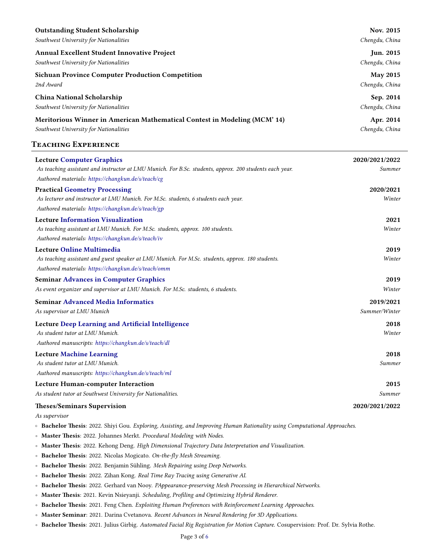| <b>Outstanding Student Scholarship</b>                                    | Nov. 2015        |
|---------------------------------------------------------------------------|------------------|
| Southwest University for Nationalities                                    | Chengdu, China   |
| <b>Annual Excellent Student Innovative Project</b>                        | <b>Jun. 2015</b> |
| Southwest University for Nationalities                                    | Chengdu, China   |
| <b>Sichuan Province Computer Production Competition</b>                   | <b>May 2015</b>  |
| 2nd Award                                                                 | Chengdu, China   |
| China National Scholarship                                                | Sep. 2014        |
| Southwest University for Nationalities                                    | Chengdu, China   |
| Meritorious Winner in American Mathematical Contest in Modeling (MCM' 14) | Apr. 2014        |
| Southwest University for Nationalities                                    | Chengdu, China   |
| <b>TEACHING EXPERIENCE</b>                                                |                  |

| <b>Lecture Computer Graphics</b>                                                                        | 2020/2021/2022 |
|---------------------------------------------------------------------------------------------------------|----------------|
| As teaching assistant and instructor at LMU Munich. For B.Sc. students, approx. 200 students each year. | Summer         |
| Authored materials: https://changkun.de/s/teach/cg                                                      |                |
| <b>Practical Geometry Processing</b>                                                                    | 2020/2021      |
| As lecturer and instructor at LMU Munich. For M.Sc. students, 6 students each year.                     | Winter         |
| Authored materials: https://changkun.de/s/teach/gp                                                      |                |
| <b>Lecture Information Visualization</b>                                                                | 2021           |
| As teaching assistant at LMU Munich. For M.Sc. students, approx. 100 students.                          | Winter         |
| Authored materials: https://changkun.de/s/teach/iv                                                      |                |
| <b>Lecture Online Multimedia</b>                                                                        | 2019           |
| As teaching assistant and guest speaker at LMU Munich. For M.Sc. students, approx. 180 students.        | Winter         |
| Authored materials: https://changkun.de/s/teach/omm                                                     |                |
| <b>Seminar Advances in Computer Graphics</b>                                                            | 2019           |
| As event organizer and supervisor at LMU Munich. For M.Sc. students, 6 students.                        | Winter         |
| <b>Seminar Advanced Media Informatics</b>                                                               | 2019/2021      |
| As supervisor at LMU Munich                                                                             | Summer/Winter  |
| Lecture Deep Learning and Artificial Intelligence                                                       | 2018           |
| As student tutor at LMU Munich.                                                                         | Winter         |
| Authored manuscripts: https://changkun.de/s/teach/dl                                                    |                |
| <b>Lecture Machine Learning</b>                                                                         | 2018           |
| As student tutor at LMU Munich.                                                                         | Summer         |
| Authored manuscripts: https://changkun.de/s/teach/ml                                                    |                |
| <b>Lecture Human-computer Interaction</b>                                                               | 2015           |
| As student tutor at Southwest University for Nationalities.                                             | Summer         |
|                                                                                                         |                |

#### **Theses/Seminars Supervision 2020/2021/2022**

*As supervisor*

- **Bachelor Thesis**: 2022. Shiyi Gou. *Exploring, Assisting, and Improving Human Rationality using Computational Approaches*.
- **Master Thesis**: 2022. Johannes Merkt. *Procedural Modeling with Nodes*.
- **Master Thesis**: 2022. Kehong Deng. *High Dimensional Trajectory Data Interpretation and Visualization*.
- **Bachelor Thesis**: 2022. Nicolas Mogicato. *On-the-fly Mesh Streaming*.
- **Bachelor Thesis**: 2022. Benjamin Sühling. *Mesh Repairing using Deep Networks*.
- **Bachelor Thesis**: 2022. Zihan Kong. *Real Time Ray Tracing using Generative AI*.
- **Bachelor Thesis**: 2022. Gerhard van Nooy. *PAppearance-preserving Mesh Processing in Hierarchical Networks*.
- **Master Thesis**: 2021. Kevin Nsieyanji. *Scheduling, Profiling and Optimizing Hybrid Renderer*.
- **Bachelor Thesis**: 2021. Feng Chen. *Exploiting Human Preferences with Reinforcement Learning Approaches*.
- **Master Seminar**: 2021. Darina Cvetanova. *Recent Advances in Neural Rendering for 3D Applications*.
- **Bachelor Thesis**: 2021. Julius Girbig. *Automated Facial Rig Registration for Motion Capture*. Cosupervision: Prof. Dr. Sylvia Rothe.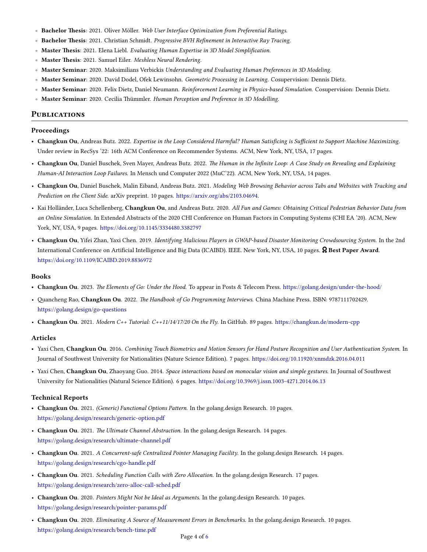- **Bachelor Thesis**: 2021. Oliver Möller. *Web User Interface Optimization from Preferential Ratings*.
- **Bachelor Thesis**: 2021. Christian Schmidt. *Progressive BVH Refinement in Interactive Ray Tracing*.
- **Master Thesis**: 2021. Elena Liebl. *Evaluating Human Expertise in 3D Model Simplification*.
- **Master Thesis**: 2021. Samuel Eiler. *Meshless Neural Rendering*.
- **Master Seminar**: 2020. Maksimilians Verbickis *Understanding and Evaluating Human Preferences in 3D Modeling*.
- **Master Seminar**: 2020. David Dodel, Ofek Lewinsohn. *Geometric Processing in Learning*. Cosupervision: Dennis Dietz.
- **Master Seminar**: 2020. Felix Dietz, Daniel Neumann. *Reinforcement Learning in Physics-based Simulation*. Cosupervision: Dennis Dietz.
- **Master Seminar**: 2020. Cecilia Thümmler. *Human Perception and Preference in 3D Modelling*.

#### **Publications**

#### **Proceedings**

- **Changkun Ou**, Andreas Butz. 2022. *Expertise in the Loop Considered Harmful? Human Satisficing is Sufficient to Support Machine Maximizing*. Under review in RecSys '22: 16th ACM Conference on Recommender Systems. ACM, New York, NY, USA, 17 pages.
- **Changkun Ou**, Daniel Buschek, Sven Mayer, Andreas Butz. 2022. *The Human in the Infinite Loop: A Case Study on Revealing and Explaining Human-AI Interaction Loop Failures*. In Mensch und Computer 2022 (MuC'22). ACM, New York, NY, USA, 14 pages.
- **Changkun Ou**, Daniel Buschek, Malin Eiband, Andreas Butz. 2021. *Modeling Web Browsing Behavior across Tabs and Websites with Tracking and Prediction on the Client Side*. arXiv preprint. 10 pages. [https://arxiv.org/abs/2103.04694.](https://arxiv.org/abs/2103.04694)
- Kai Holländer, Luca Schellenberg, **Changkun Ou**, and Andreas Butz. 2020. *All Fun and Games: Obtaining Critical Pedestrian Behavior Data from an Online Simulation*. In Extended Abstracts of the 2020 CHI Conference on Human Factors in Computing Systems (CHI EA '20). ACM, New York, NY, USA, 9 pages. <https://doi.org/10.1145/3334480.3382797>
- **Changkun Ou**, Yifei Zhan, Yaxi Chen. 2019. *Identifying Malicious Players in GWAP-based Disaster Monitoring Crowdsourcing System*. In the 2nd International Conference on Artificial Intelligence and Big Data (ICAIBD). IEEE. New York, NY, USA, 10 pages. ˣ **Best Paper Award**. <https://doi.org/10.1109/ICAIBD.2019.8836972>

#### **Books**

- **Changkun Ou**. 2023. *The Elements of Go: Under the Hood*. To appear in Posts & Telecom Press. <https://golang.design/under-the-hood/>
- Quancheng Rao, **Changkun Ou**. 2022. *The Handbook of Go Programming Interviews*. China Machine Press. ISBN: 9787111702429. <https://golang.design/go-questions>
- **Changkun Ou**. 2021. *Modern C++ Tutorial: C++11/14/17/20 On the Fly*. In GitHub. 89 pages. <https://changkun.de/modern-cpp>

### **Articles**

- Yaxi Chen, **Changkun Ou**. 2016. *Combining Touch Biometrics and Motion Sensors for Hand Posture Recognition and User Authentication System*. In Journal of Southwest University for Nationalities (Nature Science Edition). 7 pages. <https://doi.org/10.11920/xnmdzk.2016.04.011>
- Yaxi Chen, **Changkun Ou**, Zhaoyang Guo. 2014. *Space interactions based on monocular vision and simple gestures*. In Journal of Southwest University for Nationalities (Natural Science Edition). 6 pages. <https://doi.org/10.3969/j.issn.1003-4271.2014.06.13>

### **Technical Reports**

- **Changkun Ou**. 2021. *(Generic) Functional Options Pattern*. In the golang.design Research. 10 pages. <https://golang.design/research/generic-option.pdf>
- **Changkun Ou**. 2021. *The Ultimate Channel Abstraction*. In the golang.design Research. 14 pages. <https://golang.design/research/ultimate-channel.pdf>
- **Changkun Ou**. 2021. *A Concurrent-safe Centralized Pointer Managing Facility*. In the golang.design Research. 14 pages. <https://golang.design/research/cgo-handle.pdf>
- **Changkun Ou**. 2021. *Scheduling Function Calls with Zero Allocation*. In the golang.design Research. 17 pages. <https://golang.design/research/zero-alloc-call-sched.pdf>
- **Changkun Ou**. 2020. *Pointers Might Not be Ideal as Arguments*. In the golang.design Research. 10 pages. <https://golang.design/research/pointer-params.pdf>
- **Changkun Ou**. 2020. *Eliminating A Source of Measurement Errors in Benchmarks*. In the golang.design Research. 10 pages. <https://golang.design/research/bench-time.pdf>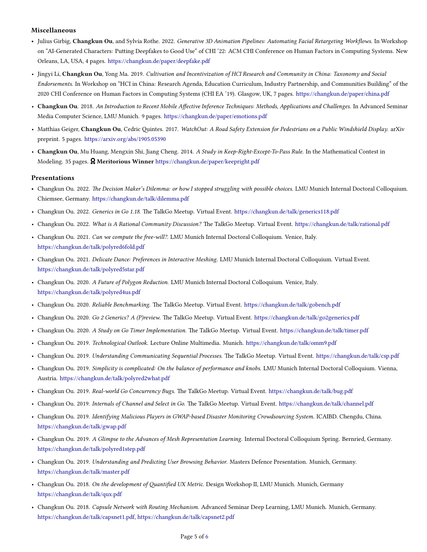# **Miscellaneous**

- Julius Girbig, **Changkun Ou**, and Sylvia Rothe. 2022. *Generative 3D Animation Pipelines: Automating Facial Retargeting Workflows*. In Workshop on "AI-Generated Characters: Putting Deepfakes to Good Use" of CHI '22: ACM CHI Conference on Human Factors in Computing Systems. New Orleans, LA, USA, 4 pages. <https://changkun.de/paper/deepfake.pdf>
- Jingyi Li, **Changkun Ou**, Yong Ma. 2019. *Cultivation and Incentivization of HCI Research and Community in China: Taxonomy and Social Endorsements*. In Workshop on "HCI in China: Research Agenda, Education Curriculum, Industry Partnership, and Communities Building" of the 2020 CHI Conference on Human Factors in Computing Systems (CHI EA '19). Glasgow, UK, 7 pages. <https://changkun.de/paper/china.pdf>
- **Changkun Ou**. 2018. *An Introduction to Recent Mobile Affective Inference Techniques: Methods, Applications and Challenges*. In Advanced Seminar Media Computer Science, LMU Munich. 9 pages. <https://changkun.de/paper/emotions.pdf>
- Matthias Geiger, **Changkun Ou**, Cedric Quintes. 2017. *WatchOut: A Road Safety Extension for Pedestrians on a Public Windshield Display*. arXiv preprint. 5 pages. <https://arxiv.org/abs/1905.05390>
- **Changkun Ou**, Mu Huang, Mengxin Shi, Jiang Cheng. 2014. *A Study in Keep-Right-Except-To-Pass Rule*. In the Mathematical Contest in Modeling. 35 pages. ˣ **Meritorious Winner** <https://changkun.de/paper/keepright.pdf>

#### **Presentations**

- Changkun Ou. 2022. *The Decision Maker's Dilemma: or how I stopped struggling with possible choices*. LMU Munich Internal Doctoral Colloquium. Chiemsee, Germany. <https://changkun.de/talk/dilemma.pdf>
- Changkun Ou. 2022. *Generics in Go 1.18*. The TalkGo Meetup. Virtual Event. <https://changkun.de/talk/generics118.pdf>
- Changkun Ou. 2022. *What is A Rational Community Discussion?* The TalkGo Meetup. Virtual Event. <https://changkun.de/talk/rational.pdf>
- Changkun Ou. 2021. *Can we compute the free-will?*. LMU Munich Internal Doctoral Colloquium. Venice, Italy. <https://changkun.de/talk/polyred6fold.pdf>
- Changkun Ou. 2021. *Delicate Dance: Preferences in Interactive Meshing*. LMU Munich Internal Doctoral Colloquium. Virtual Event. <https://changkun.de/talk/polyred5star.pdf>
- Changkun Ou. 2020. *A Future of Polygon Reduction*. LMU Munich Internal Doctoral Colloquium. Venice, Italy. <https://changkun.de/talk/polyred4us.pdf>
- Changkun Ou. 2020. *Reliable Benchmarking*. The TalkGo Meetup. Virtual Event. <https://changkun.de/talk/gobench.pdf>
- Changkun Ou. 2020. *Go 2 Generics? A (P)review*. The TalkGo Meetup. Virtual Event. <https://changkun.de/talk/go2generics.pdf>
- Changkun Ou. 2020. *A Study on Go Timer Implementation*. The TalkGo Meetup. Virtual Event. <https://changkun.de/talk/timer.pdf>
- Changkun Ou. 2019. *Technological Outlook*. Lecture Online Multimedia. Munich. <https://changkun.de/talk/omm9.pdf>
- Changkun Ou. 2019. *Understanding Communicating Sequential Processes*. The TalkGo Meetup. Virtual Event. <https://changkun.de/talk/csp.pdf>
- Changkun Ou. 2019. *Simplicity is complicated: On the balance of performance and knobs*. LMU Munich Internal Doctoral Colloquium. Vienna, Austria. <https://changkun.de/talk/polyred2what.pdf>
- Changkun Ou. 2019. *Real-world Go Concurrency Bugs*. The TalkGo Meetup. Virtual Event. <https://changkun.de/talk/bug.pdf>
- Changkun Ou. 2019. *Internals of Channel and Select in Go*. The TalkGo Meetup. Virtual Event. <https://changkun.de/talk/channel.pdf>
- Changkun Ou. 2019. *Identifying Malicious Players in GWAP-based Disaster Monitoring Crowdsourcing System*. ICAIBD. Chengdu, China. <https://changkun.de/talk/gwap.pdf>
- Changkun Ou. 2019. *A Glimpse to the Advances of Mesh Representation Learning*. Internal Doctoral Colloquium Spring. Bernried, Germany. <https://changkun.de/talk/polyred1step.pdf>
- Changkun Ou. 2019. *Understanding and Predicting User Browsing Behavior*. Masters Defence Presentation. Munich, Germany. <https://changkun.de/talk/master.pdf>
- Changkun Ou. 2018. *On the development of Quantified UX Metric*. Design Workshop II, LMU Munich. Munich, Germany <https://changkun.de/talk/qux.pdf>
- Changkun Ou. 2018. *Capsule Network with Routing Mechanism*. Advanced Seminar Deep Learning, LMU Munich. Munich, Germany. [https://changkun.de/talk/capsnet1.pdf,](https://changkun.de/talk/capsnet1.pdf) <https://changkun.de/talk/capsnet2.pdf>